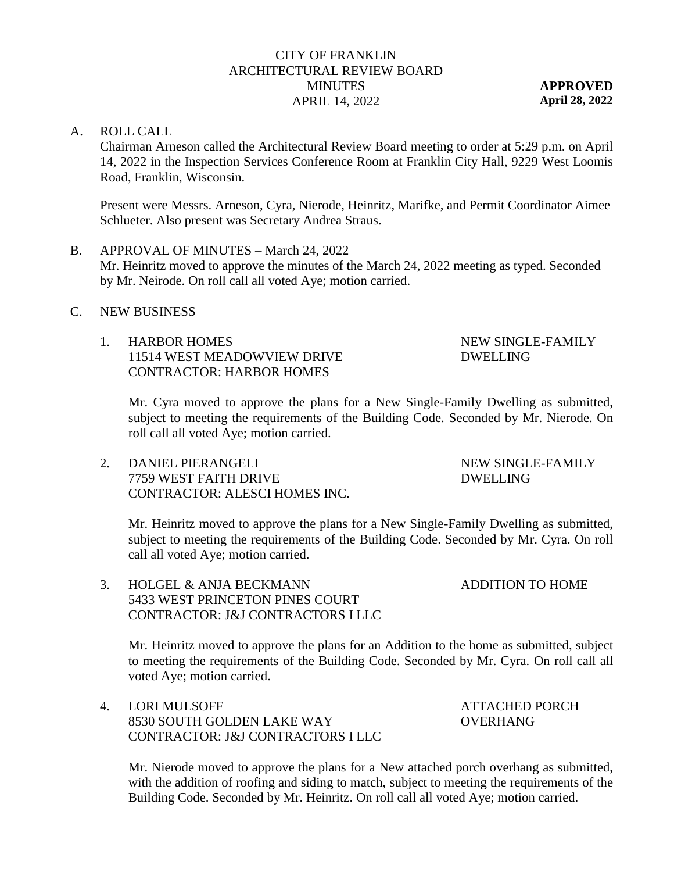# CITY OF FRANKLIN ARCHITECTURAL REVIEW BOARD **MINUTES** APRIL 14, 2022

**APPROVED April 28, 2022**

#### A. ROLL CALL

Chairman Arneson called the Architectural Review Board meeting to order at 5:29 p.m. on April 14, 2022 in the Inspection Services Conference Room at Franklin City Hall, 9229 West Loomis Road, Franklin, Wisconsin.

Present were Messrs. Arneson, Cyra, Nierode, Heinritz, Marifke, and Permit Coordinator Aimee Schlueter. Also present was Secretary Andrea Straus.

- B. APPROVAL OF MINUTES March 24, 2022 Mr. Heinritz moved to approve the minutes of the March 24, 2022 meeting as typed. Seconded by Mr. Neirode. On roll call all voted Aye; motion carried.
- C. NEW BUSINESS
	- 1. HARBOR HOMES 11514 WEST MEADOWVIEW DRIVE CONTRACTOR: HARBOR HOMES

# NEW SINGLE-FAMILY DWELLING

Mr. Cyra moved to approve the plans for a New Single-Family Dwelling as submitted, subject to meeting the requirements of the Building Code. Seconded by Mr. Nierode. On roll call all voted Aye; motion carried.

2. DANIEL PIERANGELI 7759 WEST FAITH DRIVE CONTRACTOR: ALESCI HOMES INC. NEW SINGLE-FAMILY DWELLING

Mr. Heinritz moved to approve the plans for a New Single-Family Dwelling as submitted, subject to meeting the requirements of the Building Code. Seconded by Mr. Cyra. On roll call all voted Aye; motion carried.

3. HOLGEL & ANJA BECKMANN 5433 WEST PRINCETON PINES COURT CONTRACTOR: J&J CONTRACTORS I LLC

> Mr. Heinritz moved to approve the plans for an Addition to the home as submitted, subject to meeting the requirements of the Building Code. Seconded by Mr. Cyra. On roll call all voted Aye; motion carried.

4. LORI MULSOFF 8530 SOUTH GOLDEN LAKE WAY CONTRACTOR: J&J CONTRACTORS I LLC ATTACHED PORCH OVERHANG

ADDITION TO HOME

Mr. Nierode moved to approve the plans for a New attached porch overhang as submitted, with the addition of roofing and siding to match, subject to meeting the requirements of the Building Code. Seconded by Mr. Heinritz. On roll call all voted Aye; motion carried.